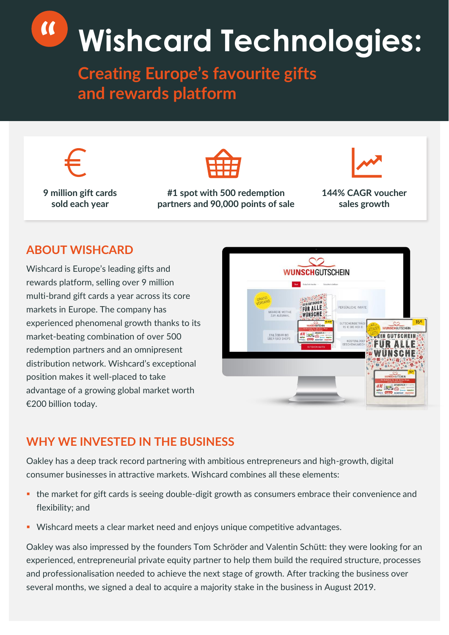# **" Wishcard Technologies:**

**Creating Europe's favourite gifts and rewards platform**



**9 million gift cards sold each year**



**#1 spot with 500 redemption partners and 90,000 points of sale**



**144% CAGR voucher sales growth**

## **ABOUT WISHCARD**

Wishcard is Europe's leading gifts and rewards platform, selling over 9 million multi-brand gift cards a year across its core markets in Europe. The company has experienced phenomenal growth thanks to its market-beating combination of over 500 redemption partners and an omnipresent distribution network. Wishcard's exceptional position makes it well-placed to take advantage of a growing global market worth €200 billion today.



#### **WHY WE INVESTED IN THE BUSINESS**

Oakley has a deep track record partnering with ambitious entrepreneurs and high-growth, digital consumer businesses in attractive markets. Wishcard combines all these elements:

- the market for gift cards is seeing double-digit growth as consumers embrace their convenience and flexibility; and
- Wishcard meets a clear market need and enjoys unique competitive advantages.

Oakley was also impressed by the founders Tom Schröder and Valentin Schütt: they were looking for an experienced, entrepreneurial private equity partner to help them build the required structure, processes and professionalisation needed to achieve the next stage of growth. After tracking the business over several months, we signed a deal to acquire a majority stake in the business in August 2019.